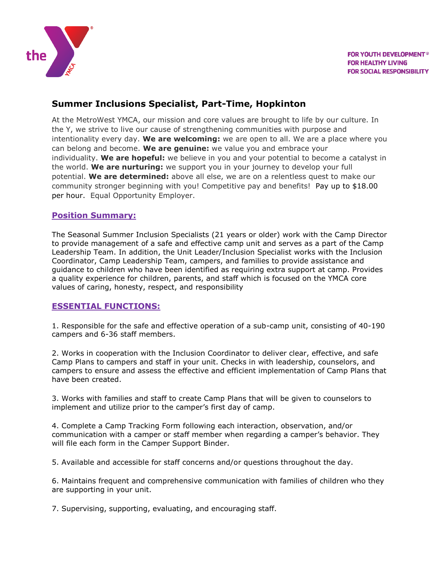

# **Summer Inclusions Specialist, Part-Time, Hopkinton**

At the MetroWest YMCA, our mission and core values are brought to life by our culture. In the Y, we strive to live our cause of strengthening communities with purpose and intentionality every day. **We are welcoming:** we are open to all. We are a place where you can belong and become. **We are genuine:** we value you and embrace your individuality. **We are hopeful:** we believe in you and your potential to become a catalyst in the world. **We are nurturing:** we support you in your journey to develop your full potential. **We are determined:** above all else, we are on a relentless quest to make our community stronger beginning with you! Competitive pay and benefits! Pay up to \$18.00 per hour. Equal Opportunity Employer.

#### **Position Summary:**

The Seasonal Summer Inclusion Specialists (21 years or older) work with the Camp Director to provide management of a safe and effective camp unit and serves as a part of the Camp Leadership Team. In addition, the Unit Leader/Inclusion Specialist works with the Inclusion Coordinator, Camp Leadership Team, campers, and families to provide assistance and guidance to children who have been identified as requiring extra support at camp. Provides a quality experience for children, parents, and staff which is focused on the YMCA core values of caring, honesty, respect, and responsibility

# **ESSENTIAL FUNCTIONS:**

1. Responsible for the safe and effective operation of a sub-camp unit, consisting of 40-190 campers and 6-36 staff members.

2. Works in cooperation with the Inclusion Coordinator to deliver clear, effective, and safe Camp Plans to campers and staff in your unit. Checks in with leadership, counselors, and campers to ensure and assess the effective and efficient implementation of Camp Plans that have been created.

3. Works with families and staff to create Camp Plans that will be given to counselors to implement and utilize prior to the camper's first day of camp.

4. Complete a Camp Tracking Form following each interaction, observation, and/or communication with a camper or staff member when regarding a camper's behavior. They will file each form in the Camper Support Binder.

5. Available and accessible for staff concerns and/or questions throughout the day.

6. Maintains frequent and comprehensive communication with families of children who they are supporting in your unit.

7. Supervising, supporting, evaluating, and encouraging staff.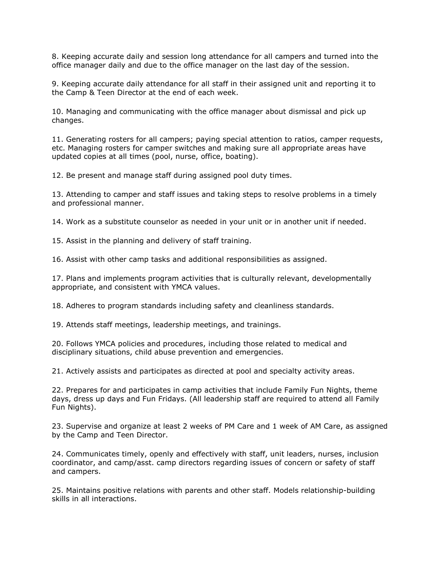8. Keeping accurate daily and session long attendance for all campers and turned into the office manager daily and due to the office manager on the last day of the session.

9. Keeping accurate daily attendance for all staff in their assigned unit and reporting it to the Camp & Teen Director at the end of each week.

10. Managing and communicating with the office manager about dismissal and pick up changes.

11. Generating rosters for all campers; paying special attention to ratios, camper requests, etc. Managing rosters for camper switches and making sure all appropriate areas have updated copies at all times (pool, nurse, office, boating).

12. Be present and manage staff during assigned pool duty times.

13. Attending to camper and staff issues and taking steps to resolve problems in a timely and professional manner.

14. Work as a substitute counselor as needed in your unit or in another unit if needed.

15. Assist in the planning and delivery of staff training.

16. Assist with other camp tasks and additional responsibilities as assigned.

17. Plans and implements program activities that is culturally relevant, developmentally appropriate, and consistent with YMCA values.

18. Adheres to program standards including safety and cleanliness standards.

19. Attends staff meetings, leadership meetings, and trainings.

20. Follows YMCA policies and procedures, including those related to medical and disciplinary situations, child abuse prevention and emergencies.

21. Actively assists and participates as directed at pool and specialty activity areas.

22. Prepares for and participates in camp activities that include Family Fun Nights, theme days, dress up days and Fun Fridays. (All leadership staff are required to attend all Family Fun Nights).

23. Supervise and organize at least 2 weeks of PM Care and 1 week of AM Care, as assigned by the Camp and Teen Director.

24. Communicates timely, openly and effectively with staff, unit leaders, nurses, inclusion coordinator, and camp/asst. camp directors regarding issues of concern or safety of staff and campers.

25. Maintains positive relations with parents and other staff. Models relationship-building skills in all interactions.